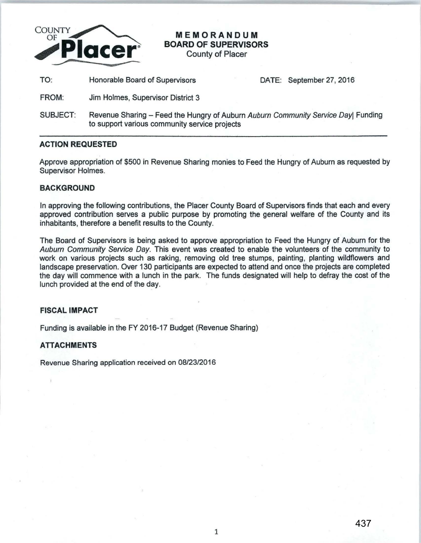

**MEMORANDUM BOARD OF SUPERVISORS**  County of Placer

TO: Honorable Board of Supervisors DATE: September 27, 2016

- FROM: Jim Holmes, Supervisor District 3
- SUBJECT: Revenue Sharing Feed the Hungry of Auburn Auburn Community Service Day| Funding to support various community service projects

## **ACTION REQUESTED**

Approve appropriation of \$500 in Revenue Sharing monies to Feed the Hungry of Auburn as requested by Supervisor Holmes.

## **BACKGROUND**

In approving the following contributions, the Placer County Board of Supervisors finds that each and every approved contribution serves a public purpose by promoting the general welfare of the County and its inhabitants, therefore a benefit results to the County.

The Board of Supervisors is being asked to approve appropriation to Feed the Hungry of Auburn for the Auburn Community Service Day. This event was created to enable the volunteers of the community to work on various projects such as raking, removing old tree stumps, painting, planting wildflowers and landscape preservation. Over 130 participants are expected to attend and once the projects are completed the day will commence with a lunch in the park. The funds designated will help to defray the cost of the lunch provided at the end of the day.

## **FISCAL IMPACT**

Funding is available in the FY 2016-17 Budget (Revenue Sharing)

## **ATTACHMENTS**

Revenue Sharing application received on 08/23/2016